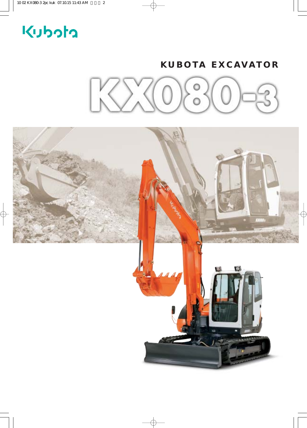# Kubota

# **KUBOTA EXCAVATOR**



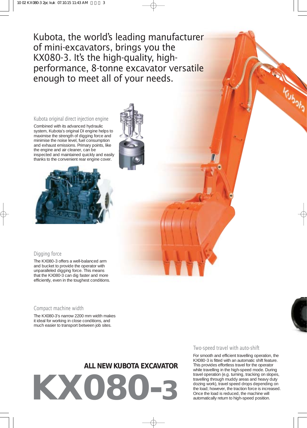Kubota, the world's leading manufacturer of mini-excavators, brings you the KX080-3. It's the high-quality, highperformance, 8-tonne excavator versatile enough to meet all of your needs.

#### Kubota original direct injection engine

Combined with its advanced hydraulic system, Kubota's original DI engine helps to maximise the strength of digging force and minimise the energing is any given and and exhaust emissions. Primary points, like the engine and air cleaner, can be inspected and maintained quickly and easily thanks to the convenient rear engine cover.



#### Digging force

The KX080-3 offers a well-balanced arm and bucket to provide the operator with unparalleled digging force. This means that the KX080-3 can dig faster and more efficiently, even in the toughest conditions.

#### Compact machine width

The KX080-3's narrow 2200 mm width makes it ideal for working in close conditions, and much easier to transport between job sites.

# **ALL NEW KUBOTA EXCAVATOR**

**KX080-3**

#### Two-speed travel with auto-shift

For smooth and efficient travelling operation, the KX080-3 is fitted with an automatic shift feature. This provides effortless travel for the operator while travelling in the high-speed mode. During travel operation (e.g. turning, tracking on slopes, travelling through muddy areas and heavy duty dozing work), travel speed drops depending on the load; however, the traction force is increased. Once the load is reduced, the machine will automatically return to high-speed position.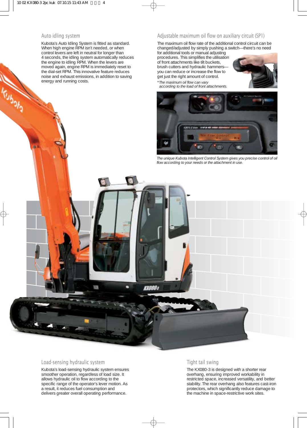#### Auto idling system

Kubota's Auto Idling System is fitted as standard. When high engine RPM isn't needed, or when control levers are left in neutral for longer than 4 seconds, the idling system automatically reduces the engine to idling RPM. When the levers are moved again, engine RPM is immediately reset to the dial-set RPM. This innovative feature reduces noise and exhaust emissions, in addition to saving energy and running costs.

#### Adjustable maximum oil flow on auxiliary circuit (SP1)

The maximum oil flow rate of the additional control circuit can be changed/adjusted by simply pushing a switch—there's no need

for additional tools or manual adjusting procedures. This simplifies the utilisation of front attachments like tilt buckets, brush cutters and hydraulic hammers you can reduce or increase the flow to get just the right amount of control.

*\*The maximum oil flow can vary according to the load of front attachments.*





*The unique Kubota Intelligent Control System gives you precise control of oil flow according to your needs or the attachment in use.*



#### Load-sensing hydraulic system

Kubota's load-sensing hydraulic system ensures smoother operation, regardless of load size. It allows hydraulic oil to flow according to the specific range of the operator's lever motion. As a result, it reduces fuel consumption and delivers greater overall operating performance.

#### Tight tail swing

The KX080-3 is designed with a shorter rear overhang, ensuring improved workability in restricted space, increased versatility, and better stability. The rear overhang also features cast-iron protectors, which significantly reduce damage to the machine in space-restrictive work sites.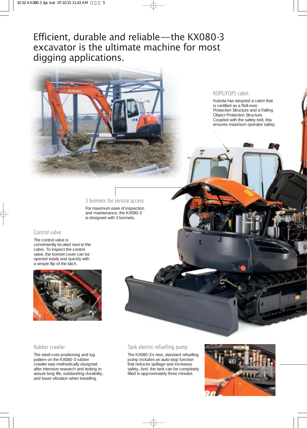Efficient, durable and reliable—the KX080-3 excavator is the ultimate machine for most digging applications.



#### ROPS/FOPS cabin

Kubota has adopted a cabin that is certified as a Roll-over Protection Structure and a Falling Object Protection Structure. Coupled with the safety belt, this ensures maximum operator safety.

#### 3 bonnets for service access

For maximum ease of inspection and maintenance, the KX080-3 is designed with 3 bonnets.

### Control valve

The control valve is conveniently located next to the cabin. To inspect the control valve, the bonnet cover can be opened easily and quickly with a simple flip of the latch.



#### Rubber crawler

The steel-core positioning and lug pattern on the KX080-3 rubber crawler was methodically designed after intensive research and testing to assure long life, outstanding durability, and lower vibration when travelling.



The KX080-3's new, standard refuelling pump includes an auto-stop function that reduces spillage and increases safety. And, the tank can be completely filled in approximately three minutes.

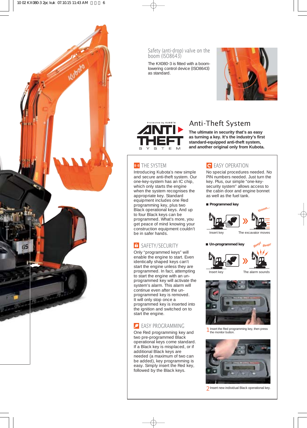

Safety (anti-drop) valve on the boom (ISO8643)

The KX080-3 is fitted with a boomlowering control device (ISO8643) as standard.





# Anti-Theft System

**The ultimate in security that's as easy as turning a key. It's the industry's first standard-equipped anti-theft system, and another original only from Kubota.**

## **(6)** THE SYSTEM

Introducing Kubota's new simple and secure anti-theft system. Our one-key-system has an IC chip, which only starts the engine when the system recognises the appropriate key. Standard equipment includes one Red programming key, plus two Black operational keys. And up to four Black keys can be programmed. What's more, you get peace of mind knowing your construction equipment couldn't be in safer hands.

# **f** SAFETY/SECURITY

Only "programmed keys" will enable the engine to start. Even identically shaped keys can't start the engine unless they are programmed. In fact, attempting to start the engine with an unprogrammed key will activate the system's alarm. This alarm will continue even after the unprogrammed key is removed. It will only stop once a programmed key is inserted into the ignition and switched on to start the engine.

# **EASY PROGRAMMING**

One Red programming key and two pre-programmed Black operational keys come standard. If a Black key is misplaced, or if additional Black keys are needed (a maximum of two can be added), key programming is easy. Simply insert the Red key, followed by the Black keys.

# **C** EASY OPERATION

No special procedures needed. No PIN numbers needed. Just turn the key. Plus, our simple "one-keysecurity system" allows access to the cabin door and engine bonnet as well as the fuel tank.







Insert key The alarm sounds



1 Insert the Red programming key, then press the monitor button.



**)** Insert new individual Black operational key.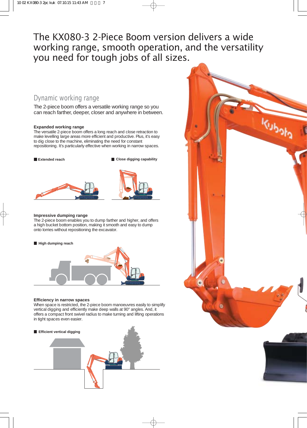# The KX080-3 2-Piece Boom version delivers a wide working range, smooth operation, and the versatility you need for tough jobs of all sizes.

# Dynamic working range

The 2-piece boom offers a versatile working range so you can reach farther, deeper, closer and anywhere in between.

#### **Expanded working range**

The versatile 2-piece boom offers a long reach and close retraction to make levelling large areas more efficient and productive. Plus, it's easy to dig close to the machine, eliminating the need for constant repositioning. It's particularly effective when working in narrow spaces.

**Extended reach Close digging capability** 



#### **Impressive dumping range**

The 2-piece boom enables you to dump farther and higher, and offers a high bucket bottom position, making it smooth and easy to dump onto lorries without repositioning the excavator.



#### **Efficiency in narrow spaces**

When space is restricted, the 2-piece boom manoeuvres easily to simplify vertical digging and efficiently make deep walls at 90° angles. And, it offers a compact front swivel radius to make turning and lifting operations in tight spaces even easier.





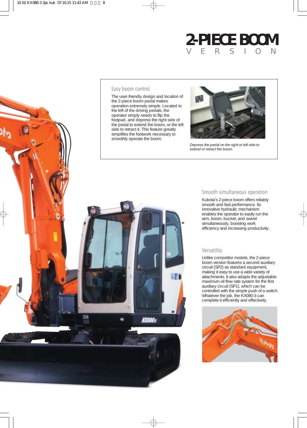# **2-PIECE BOOM** VERSION



#### Easy boom control

The user-friendly design and location of operation extremely simple. Located to footpad, and depress the right side of the pedal to extend the boom, or the left



*Depress the pedal on the right or left side to extend or retract the boom.*

#### Smooth simultaneous operation

Kubota's 2-piece boom offers reliably smooth and fast performance. Its innovative hydraulic mechanism enables the operator to easily run the arm, boom, bucket, and swivel simultaneously, boosting work efficiency and increasing productivity.

#### Versatility

Unlike competitor models, the 2-piece boom version features a second auxiliary circuit (SP2) as standard equipment, making it easy to use a wide variety of attachments. It also adapts the adjustable maximum oil flow rate system for the first auxiliary circuit (SP1), which can be controlled with the simple push of a switch. Whatever the job, the KX080-3 can complete it efficiently and effectively.

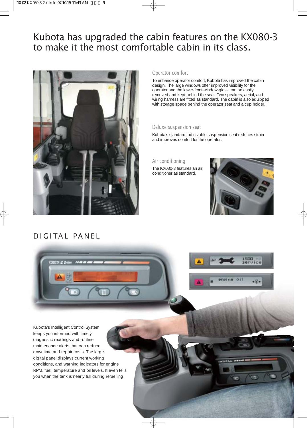# Kubota has upgraded the cabin features on the KX080-3 to make it the most comfortable cabin in its class.



# DIGITAL PANEL

#### Operator comfort

To enhance operator comfort, Kubota has improved the cabin design. The large windows offer improved visibility for the operator and the lower-front-window-glass can be easily removed and kept behind the seat. Two speakers, aerial, and wiring harness are fitted as standard. The cabin is also equipped with storage space behind the operator seat and a cup holder.

#### Deluxe suspension seat

Kubota's standard, adjustable suspension seat reduces strain and improves comfort for the operator.

Air conditioning

The KX080-3 features an air conditioner as standard.





m

Kubota's Intelligent Control System keeps you informed with timely diagnostic readings and routine maintenance alerts that can reduce downtime and repair costs. The large digital panel displays current working conditions, and warning indicators for engine RPM, fuel, temperature and oil levels. It even tells you when the tank is nearly full during refuelling.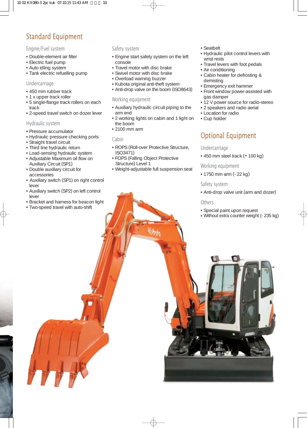# Standard Equipment

### Engine/Fuel system

- Double-element air filter
- •Electric fuel pump
- •Auto idling system
- Tank electric refuelling pump

### Undercarriage

- 450 mm rubber track
- 1 x upper track roller
- 5 single-flange track rollers on each track
- 2-speed travel switch on dozer lever

#### Hydraulic system

- •Pressure accumulator
- Hydraulic pressure checking ports
- •Straight travel circuit
- Third line hydraulic return
- Load-sensing hydraulic system
- •Adjustable Maximum oil flow on Auxiliary Circuit (SP1)
- Double auxiliary circuit for accessories
- Auxiliary switch (SP1) on right control lever
- •Auxiliary switch (SP2) on left control lever
- •Bracket and harness for beacon light
- Two-speed travel with auto-shift

#### Safety system

- •Engine start safety system on the left console
- Travel motor with disc brake
- •Swivel motor with disc brake
- Overload warning buzzer
- •Kubota original anti-theft system
- •Anti-drop valve on the boom (ISO8643)

#### Working equipment

- •Auxiliary hydraulic circuit piping to the arm end
- 2 working lights on cabin and 1 light on the boom
- 2100 mm arm

#### Cabin

- ROPS (Roll-over Protective Structure, ISO3471)
- FOPS (Falling Object Protective Structure) Level 1
- •Weight-adjustable full suspension seat

Kuholo

#### •Seatbelt

- Hydraulic pilot control levers with wrist rests
- Travel levers with foot pedals
- Air conditioning
- Cabin heater for defrosting & demisting
- •Emergency exit hammer
- Front window power-assisted with gas damper
- 12 V power source for radio-stereo
- 2 speakers and radio aerial
- Location for radio
- Cup holder

# Optional Equipment

### Undercarriage

 $\cdot$  450 mm steel track  $(+100$  kg)

Working equipment

• 1750 mm arm (- 22 kg)

#### Safety system

•Anti-drop valve unit (arm and dozer)

### **Others**

- •Special paint upon request
- •Without extra counter weight (- 235 kg)

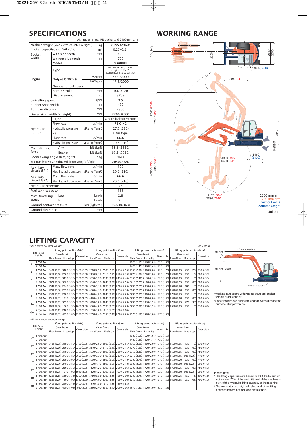# **SPECIFICATIONS**

| Machine weight (w/o extra counter weight)<br>8195 (7960)<br>kg<br>Bucket capacity, std. SAE/CECE<br>m <sup>3</sup><br>0.25/0.21<br>With side teeth<br>mm<br>800<br>Bucket<br>width<br>Without side teeth<br>700<br>mm<br>Model<br>V3800DI<br>Water-cooled, diesel<br>Type<br>engine E-TVCS<br>(Economical, ecological type)<br>PS/rpm<br>65.0/2000<br>Engine<br>Output ISO9249<br>kW/rpm<br>47.8/2000<br>Number of cylinders<br>4<br>Bore $\times$ Stroke<br>$100 \times 120$<br>mm<br>Displacement<br>3769<br>CC<br>Swivelling speed<br>9.5<br>rpm<br>450<br>Rubber shoe width<br>mm<br>Tumbler distance<br>2300<br>mm<br>$2200 \times 500$<br>Dozer size (width $\times$ height)<br>mm<br>Variable displacement pump<br>P1, P2<br>$72.0 \times 2$<br>$\ell$ /min<br>Flow rate<br>MPa ( $kqf/cm2$ )<br>27.5 (280)<br>Hydraulic pressure<br>Hvdraulic<br>pumps<br>P <sub>3</sub><br>Gear type<br>66.6<br>Flow rate<br>$\ell$ /min<br>20.6(210)<br>MPa ( $kqf/cm2$ )<br>Hydraulic pressure<br>kN (kgf)<br>Arm<br>38.1 (3880)<br>Max. digging<br>force<br><b>Bucket</b><br>kN (kgf)<br>65.2 (6650)<br>Boom swing angle (left/right)<br>70/60<br>deg<br>Minimum front swivel radius with boom swing (left/right)<br>2050/2380<br>Max. flow rate<br>$\ell$ /min<br>100<br>Auxiliarv<br>circuit (SP1)<br>Max. hydraulic pressure<br>MPa ( $kqf/cm^2$ )<br>20.6 (210)<br>Max. flow rate<br>66.6<br>$\ell$ /min<br>Auxiliary<br>circuit (SP2)<br>MPa (kgf/cm <sup>2</sup> )<br>Max. hydraulic pressure<br>20.6 (210)<br>75<br>Hydraulic reservoir<br>é.<br>Fuel tank capacity<br>115<br>é.<br>2.8<br>Low<br>km/h<br>Max. travelling<br>speed<br>5.1<br>High<br>km/h<br>kPa (kgf/cm <sup>2</sup> )<br>35.6 (0.363)<br>Ground contact pressure | *with rubber shoe, JPN bucket and 2100 mm arm |  |  |    |     |  |  |  |  |
|---------------------------------------------------------------------------------------------------------------------------------------------------------------------------------------------------------------------------------------------------------------------------------------------------------------------------------------------------------------------------------------------------------------------------------------------------------------------------------------------------------------------------------------------------------------------------------------------------------------------------------------------------------------------------------------------------------------------------------------------------------------------------------------------------------------------------------------------------------------------------------------------------------------------------------------------------------------------------------------------------------------------------------------------------------------------------------------------------------------------------------------------------------------------------------------------------------------------------------------------------------------------------------------------------------------------------------------------------------------------------------------------------------------------------------------------------------------------------------------------------------------------------------------------------------------------------------------------------------------------------------------------------------------------------------------------------------------------------------------|-----------------------------------------------|--|--|----|-----|--|--|--|--|
|                                                                                                                                                                                                                                                                                                                                                                                                                                                                                                                                                                                                                                                                                                                                                                                                                                                                                                                                                                                                                                                                                                                                                                                                                                                                                                                                                                                                                                                                                                                                                                                                                                                                                                                                       |                                               |  |  |    |     |  |  |  |  |
|                                                                                                                                                                                                                                                                                                                                                                                                                                                                                                                                                                                                                                                                                                                                                                                                                                                                                                                                                                                                                                                                                                                                                                                                                                                                                                                                                                                                                                                                                                                                                                                                                                                                                                                                       |                                               |  |  |    |     |  |  |  |  |
|                                                                                                                                                                                                                                                                                                                                                                                                                                                                                                                                                                                                                                                                                                                                                                                                                                                                                                                                                                                                                                                                                                                                                                                                                                                                                                                                                                                                                                                                                                                                                                                                                                                                                                                                       |                                               |  |  |    |     |  |  |  |  |
|                                                                                                                                                                                                                                                                                                                                                                                                                                                                                                                                                                                                                                                                                                                                                                                                                                                                                                                                                                                                                                                                                                                                                                                                                                                                                                                                                                                                                                                                                                                                                                                                                                                                                                                                       |                                               |  |  |    |     |  |  |  |  |
|                                                                                                                                                                                                                                                                                                                                                                                                                                                                                                                                                                                                                                                                                                                                                                                                                                                                                                                                                                                                                                                                                                                                                                                                                                                                                                                                                                                                                                                                                                                                                                                                                                                                                                                                       |                                               |  |  |    |     |  |  |  |  |
|                                                                                                                                                                                                                                                                                                                                                                                                                                                                                                                                                                                                                                                                                                                                                                                                                                                                                                                                                                                                                                                                                                                                                                                                                                                                                                                                                                                                                                                                                                                                                                                                                                                                                                                                       |                                               |  |  |    |     |  |  |  |  |
|                                                                                                                                                                                                                                                                                                                                                                                                                                                                                                                                                                                                                                                                                                                                                                                                                                                                                                                                                                                                                                                                                                                                                                                                                                                                                                                                                                                                                                                                                                                                                                                                                                                                                                                                       |                                               |  |  |    |     |  |  |  |  |
|                                                                                                                                                                                                                                                                                                                                                                                                                                                                                                                                                                                                                                                                                                                                                                                                                                                                                                                                                                                                                                                                                                                                                                                                                                                                                                                                                                                                                                                                                                                                                                                                                                                                                                                                       |                                               |  |  |    |     |  |  |  |  |
|                                                                                                                                                                                                                                                                                                                                                                                                                                                                                                                                                                                                                                                                                                                                                                                                                                                                                                                                                                                                                                                                                                                                                                                                                                                                                                                                                                                                                                                                                                                                                                                                                                                                                                                                       |                                               |  |  |    |     |  |  |  |  |
|                                                                                                                                                                                                                                                                                                                                                                                                                                                                                                                                                                                                                                                                                                                                                                                                                                                                                                                                                                                                                                                                                                                                                                                                                                                                                                                                                                                                                                                                                                                                                                                                                                                                                                                                       |                                               |  |  |    |     |  |  |  |  |
|                                                                                                                                                                                                                                                                                                                                                                                                                                                                                                                                                                                                                                                                                                                                                                                                                                                                                                                                                                                                                                                                                                                                                                                                                                                                                                                                                                                                                                                                                                                                                                                                                                                                                                                                       |                                               |  |  |    |     |  |  |  |  |
|                                                                                                                                                                                                                                                                                                                                                                                                                                                                                                                                                                                                                                                                                                                                                                                                                                                                                                                                                                                                                                                                                                                                                                                                                                                                                                                                                                                                                                                                                                                                                                                                                                                                                                                                       |                                               |  |  |    |     |  |  |  |  |
|                                                                                                                                                                                                                                                                                                                                                                                                                                                                                                                                                                                                                                                                                                                                                                                                                                                                                                                                                                                                                                                                                                                                                                                                                                                                                                                                                                                                                                                                                                                                                                                                                                                                                                                                       |                                               |  |  |    |     |  |  |  |  |
|                                                                                                                                                                                                                                                                                                                                                                                                                                                                                                                                                                                                                                                                                                                                                                                                                                                                                                                                                                                                                                                                                                                                                                                                                                                                                                                                                                                                                                                                                                                                                                                                                                                                                                                                       |                                               |  |  |    |     |  |  |  |  |
|                                                                                                                                                                                                                                                                                                                                                                                                                                                                                                                                                                                                                                                                                                                                                                                                                                                                                                                                                                                                                                                                                                                                                                                                                                                                                                                                                                                                                                                                                                                                                                                                                                                                                                                                       |                                               |  |  |    |     |  |  |  |  |
|                                                                                                                                                                                                                                                                                                                                                                                                                                                                                                                                                                                                                                                                                                                                                                                                                                                                                                                                                                                                                                                                                                                                                                                                                                                                                                                                                                                                                                                                                                                                                                                                                                                                                                                                       |                                               |  |  |    |     |  |  |  |  |
|                                                                                                                                                                                                                                                                                                                                                                                                                                                                                                                                                                                                                                                                                                                                                                                                                                                                                                                                                                                                                                                                                                                                                                                                                                                                                                                                                                                                                                                                                                                                                                                                                                                                                                                                       |                                               |  |  |    |     |  |  |  |  |
|                                                                                                                                                                                                                                                                                                                                                                                                                                                                                                                                                                                                                                                                                                                                                                                                                                                                                                                                                                                                                                                                                                                                                                                                                                                                                                                                                                                                                                                                                                                                                                                                                                                                                                                                       |                                               |  |  |    |     |  |  |  |  |
|                                                                                                                                                                                                                                                                                                                                                                                                                                                                                                                                                                                                                                                                                                                                                                                                                                                                                                                                                                                                                                                                                                                                                                                                                                                                                                                                                                                                                                                                                                                                                                                                                                                                                                                                       |                                               |  |  |    |     |  |  |  |  |
|                                                                                                                                                                                                                                                                                                                                                                                                                                                                                                                                                                                                                                                                                                                                                                                                                                                                                                                                                                                                                                                                                                                                                                                                                                                                                                                                                                                                                                                                                                                                                                                                                                                                                                                                       |                                               |  |  |    |     |  |  |  |  |
|                                                                                                                                                                                                                                                                                                                                                                                                                                                                                                                                                                                                                                                                                                                                                                                                                                                                                                                                                                                                                                                                                                                                                                                                                                                                                                                                                                                                                                                                                                                                                                                                                                                                                                                                       |                                               |  |  |    |     |  |  |  |  |
|                                                                                                                                                                                                                                                                                                                                                                                                                                                                                                                                                                                                                                                                                                                                                                                                                                                                                                                                                                                                                                                                                                                                                                                                                                                                                                                                                                                                                                                                                                                                                                                                                                                                                                                                       |                                               |  |  |    |     |  |  |  |  |
|                                                                                                                                                                                                                                                                                                                                                                                                                                                                                                                                                                                                                                                                                                                                                                                                                                                                                                                                                                                                                                                                                                                                                                                                                                                                                                                                                                                                                                                                                                                                                                                                                                                                                                                                       |                                               |  |  |    |     |  |  |  |  |
|                                                                                                                                                                                                                                                                                                                                                                                                                                                                                                                                                                                                                                                                                                                                                                                                                                                                                                                                                                                                                                                                                                                                                                                                                                                                                                                                                                                                                                                                                                                                                                                                                                                                                                                                       |                                               |  |  |    |     |  |  |  |  |
|                                                                                                                                                                                                                                                                                                                                                                                                                                                                                                                                                                                                                                                                                                                                                                                                                                                                                                                                                                                                                                                                                                                                                                                                                                                                                                                                                                                                                                                                                                                                                                                                                                                                                                                                       |                                               |  |  |    |     |  |  |  |  |
|                                                                                                                                                                                                                                                                                                                                                                                                                                                                                                                                                                                                                                                                                                                                                                                                                                                                                                                                                                                                                                                                                                                                                                                                                                                                                                                                                                                                                                                                                                                                                                                                                                                                                                                                       |                                               |  |  |    |     |  |  |  |  |
|                                                                                                                                                                                                                                                                                                                                                                                                                                                                                                                                                                                                                                                                                                                                                                                                                                                                                                                                                                                                                                                                                                                                                                                                                                                                                                                                                                                                                                                                                                                                                                                                                                                                                                                                       |                                               |  |  |    |     |  |  |  |  |
|                                                                                                                                                                                                                                                                                                                                                                                                                                                                                                                                                                                                                                                                                                                                                                                                                                                                                                                                                                                                                                                                                                                                                                                                                                                                                                                                                                                                                                                                                                                                                                                                                                                                                                                                       |                                               |  |  |    |     |  |  |  |  |
|                                                                                                                                                                                                                                                                                                                                                                                                                                                                                                                                                                                                                                                                                                                                                                                                                                                                                                                                                                                                                                                                                                                                                                                                                                                                                                                                                                                                                                                                                                                                                                                                                                                                                                                                       |                                               |  |  |    |     |  |  |  |  |
|                                                                                                                                                                                                                                                                                                                                                                                                                                                                                                                                                                                                                                                                                                                                                                                                                                                                                                                                                                                                                                                                                                                                                                                                                                                                                                                                                                                                                                                                                                                                                                                                                                                                                                                                       |                                               |  |  |    |     |  |  |  |  |
|                                                                                                                                                                                                                                                                                                                                                                                                                                                                                                                                                                                                                                                                                                                                                                                                                                                                                                                                                                                                                                                                                                                                                                                                                                                                                                                                                                                                                                                                                                                                                                                                                                                                                                                                       |                                               |  |  |    |     |  |  |  |  |
|                                                                                                                                                                                                                                                                                                                                                                                                                                                                                                                                                                                                                                                                                                                                                                                                                                                                                                                                                                                                                                                                                                                                                                                                                                                                                                                                                                                                                                                                                                                                                                                                                                                                                                                                       |                                               |  |  |    |     |  |  |  |  |
|                                                                                                                                                                                                                                                                                                                                                                                                                                                                                                                                                                                                                                                                                                                                                                                                                                                                                                                                                                                                                                                                                                                                                                                                                                                                                                                                                                                                                                                                                                                                                                                                                                                                                                                                       |                                               |  |  |    |     |  |  |  |  |
|                                                                                                                                                                                                                                                                                                                                                                                                                                                                                                                                                                                                                                                                                                                                                                                                                                                                                                                                                                                                                                                                                                                                                                                                                                                                                                                                                                                                                                                                                                                                                                                                                                                                                                                                       |                                               |  |  |    |     |  |  |  |  |
|                                                                                                                                                                                                                                                                                                                                                                                                                                                                                                                                                                                                                                                                                                                                                                                                                                                                                                                                                                                                                                                                                                                                                                                                                                                                                                                                                                                                                                                                                                                                                                                                                                                                                                                                       | Ground clearance                              |  |  | mm | 390 |  |  |  |  |

# **WORKING RANGE**



Unit:mm

# **LIFTING CAPACITY**

| daN (ton)<br>*With extra counter weight |          |                            |          |                                                                                                                                  |                           |            |           |                           |                                     |           |                                                                                                                                                                                                 |          |            |
|-----------------------------------------|----------|----------------------------|----------|----------------------------------------------------------------------------------------------------------------------------------|---------------------------|------------|-----------|---------------------------|-------------------------------------|-----------|-------------------------------------------------------------------------------------------------------------------------------------------------------------------------------------------------|----------|------------|
| Lift Point<br>Height                    |          | Lifting point radius (Min) |          |                                                                                                                                  | Lifting point radius (3m) |            |           | Lifting point radius (4m) |                                     |           | Lifting point radius (Max)                                                                                                                                                                      |          |            |
|                                         |          | Over-front                 |          |                                                                                                                                  |                           | Over-front |           | Over-front                |                                     | Over-side | Over-front                                                                                                                                                                                      |          |            |
|                                         |          | <b>Blade Down</b>          | Blade Up | Over-side                                                                                                                        | Blade Down                | Blade Up   | Over-side | <b>Blade Down</b>         | Blade Up                            |           | <b>Blade Down</b>                                                                                                                                                                               | Blade Up | Over-side  |
| 5m                                      | 1750 Arm |                            |          |                                                                                                                                  |                           |            |           |                           | 1620 (1,65) 1620 (1,65) 1620 (1,65) |           |                                                                                                                                                                                                 |          |            |
|                                         | 2100 Arm |                            |          |                                                                                                                                  |                           |            |           |                           | 1420 (1.45) 1420 (1.45) 1420 (1.45) |           |                                                                                                                                                                                                 |          |            |
|                                         |          |                            |          |                                                                                                                                  |                           |            |           |                           |                                     |           | 1750 Arm 3480 (3,55) 3480 (3,55) 3480 (3,55) 2500 (2,55) 2500 (2,55) 2500 (2,55) 360 (2,00) 1960 (2,00) 1760 (2,00) 1720 (1,75) 1620 (1,65) 1230 (1,25) 390 (0,95)                              |          |            |
| 3m                                      |          |                            |          |                                                                                                                                  |                           |            |           |                           |                                     |           | 2110 (1,15) 1130 (1,55) 1131 (1,55) 1131 (1,55) 1130 (2,30) 2260 (2,30) 2110 (2,15) 2110 (2,15) 2110 (2,15) 21170 (1,80) 1770 (1,80) 1770 (1,80) 1720 (1,75) 1520 (1,55) 1131 (1,15) 880 (0,90) |          |            |
| 2m                                      |          |                            |          |                                                                                                                                  |                           |            |           |                           |                                     |           | 1750 Arm  3780 (3,85) 3430 (3,50) 2500 (2,55) 3630 (3,70) 3330 (3,40) 2400 (2,45) 2350 (2,40) 2110 (2,15) 1620 (1,65) 1620 (1,65) 1130 (1,15)  880 (0,90)                                       |          |            |
|                                         |          |                            |          |                                                                                                                                  |                           |            |           |                           |                                     |           | 2100 Arm 3820 (3.90) 3820 (3.90) 2890 (2.95) 3240 (3.30) 3240 (3.30) 2500 (2.55) 2210 (2.25) 2160 (2.20) 1620 (1.65) 1520 (1.55) 1030 (1.05)                                                    |          | 780 (0.80) |
| 1m                                      |          |                            |          |                                                                                                                                  |                           |            |           |                           |                                     |           | 1750 Arm 2940 (3,00) 2940 (3,00) 2960 (3,10) 2000 (3,15) 2090 (3,15) 2210 (2,25) 2700 (2,75) 2010 (2,05) 1520 (1,55) 1670 (1,70) 1080 (1,10)                                                    |          | 830 (0.85) |
|                                         |          |                            |          |                                                                                                                                  |                           |            |           |                           |                                     |           | 2100 Arm 2750 (2,80) 2750 (2,80) 2760 (2,80) 2550 (2,60) 4020 (4,10) 3140 (3,20) 2260 (2,30) 2600 (2,65) 2010 (2,05) 1520 (1,55) 1570 (1,60) 1030 (1,05)                                        |          | 780 (0.80) |
|                                         |          |                            |          |                                                                                                                                  |                           |            |           |                           |                                     |           | 1720 (1,75) 1721 (1,75) 1721 (1,85) 1720 (1,75) 1720 (2,35) 1720 (2,35) 1720 (4,20) 3040 (3,10) 2160 (2,20) 2790 (2,85) 1960 (2,00) 1420 (1,45) 1720 (1,75) 1730 (1,15)                         |          | 830 (0.85) |
| 0 <sub>m</sub>                          | 2100 Arm |                            |          |                                                                                                                                  |                           |            |           |                           |                                     |           | 1910, 1) 1030   1910 (1,60) 1030   1910 (1,95) 1030   2790 (2,00) 2790 (2,85) 3040 (3,10) 10340 (3,10) 1030 [2790 (2,85) كالموارد (1,95) 1910 (1,95) 2790 (2,85) 1910 (1,95) [1910 (1,95)       |          | 780 (0.80) |
|                                         |          |                            |          |                                                                                                                                  |                           |            |           |                           |                                     |           | 1750 Arm  3290 (3,35) 3290 (3,35) 3290 (3,35) 3780 (3,85) 3040 (3,10) 2160 (2,20) 2700 (2,75) 1910 (1,95) 1420 (1,45) 1720 (1,75) 1270 (1,30)  930 (0,95)                                       |          |            |
| $-1m$                                   | 2100 Arm |                            |          |                                                                                                                                  |                           |            |           |                           |                                     |           | 1860 (1,90) 330 (1,90) 1860 (1,90) 1860 (1,90) 3920 (4,00) 2990 (3,05) 2160 (2,20) 2750 (2,80) 1910 (1,95) 1420 (1,45) 1620 (1,65) 1130 (1,15) 830 (0,85)                                       |          |            |
|                                         |          |                            |          | 1750 Arm 2400 (2,45) 2400 (2,45) 2400 (2,45) 1810 (1,85) 1810 (1,85) 1810 (1,85)                                                 |                           |            |           |                           |                                     |           |                                                                                                                                                                                                 |          |            |
| $-3m$                                   |          |                            |          | 2100 Arm 4950 (5,05) 4950 (5,05) 4950 (5,05) 2350 (2,40) 2350 (2,40) 2350 (2,40) 2210 (2,25) 1570 (1,60) 1570 (1,60) 1470 (1,50) |                           |            |           |                           |                                     |           |                                                                                                                                                                                                 |          |            |

|                   | Lift Point Radius |
|-------------------|-------------------|
| Lift Point        |                   |
| Lift Point Height |                   |
|                   | Axis of Rotation  |

\* Working ranges are with Kubota standard bucket, without quick coupler.

\* Specifications are subject to change without notice for purpose of improvement.

\*Without extra counter weight

| Lift Point<br>Height |          | Lifting point radius (Min) |          |                                                                                                                                  | Lifting point radius (3m) |            |           | Lifting point radius (4m) |                                     |           | Lifting point radius (Max)                                                                                                                                           |          |            |
|----------------------|----------|----------------------------|----------|----------------------------------------------------------------------------------------------------------------------------------|---------------------------|------------|-----------|---------------------------|-------------------------------------|-----------|----------------------------------------------------------------------------------------------------------------------------------------------------------------------|----------|------------|
|                      |          | Over-front                 |          |                                                                                                                                  |                           | Over-front |           | Over-front                |                                     |           | Over-front                                                                                                                                                           |          | Over-side  |
|                      |          | Blade Down                 | Blade Up | Over-side                                                                                                                        | Blade Down                | Blade Up   | Over-side | <b>Blade Down</b>         | Blade Up                            | Over-side | Blade Down                                                                                                                                                           | Blade Up |            |
| 5m                   | 1750 Arm |                            |          |                                                                                                                                  |                           |            |           |                           | 1620 (1,65) 1620 (1,65) 1620 (1,65) |           |                                                                                                                                                                      |          |            |
|                      | 2100 Arm |                            |          |                                                                                                                                  |                           |            |           |                           | 1420 (1.45) 1420 (1.45) 1420 (1.45) |           |                                                                                                                                                                      |          |            |
|                      |          |                            |          |                                                                                                                                  |                           |            |           |                           |                                     |           |                                                                                                                                                                      |          | 830 (0.85) |
| 3m                   |          |                            |          |                                                                                                                                  |                           |            |           |                           |                                     |           | 2100 Arm 2260 (2,30) 2260 (2,30) 2260 (0,30) 2710 (2,15) 2110 (2,15) 2110 (2,15) 2110 (2,15) 2110 (2,15) 1770 (1,80) 1770 (1,80) 1620 (1,65) 1520 (1,55) 1030 (1,05) |          | 780 (0.80) |
|                      |          |                            |          |                                                                                                                                  |                           |            |           |                           |                                     |           |                                                                                                                                                                      |          | 780 (0.80) |
| 2m                   |          |                            |          |                                                                                                                                  |                           |            |           |                           |                                     |           | 2100 Arm 3820 (3,90) 3730 (3,80) 2650 (2,70) 3240 (3,30) 3190 (3,25) 2300 (2,35) 2210 (2,25) 1960 (2,00) 1470 (1,50) 1520 (1,55) 980 (1,00)                          |          | 740 (0,75) |
|                      |          |                            |          |                                                                                                                                  |                           |            |           |                           |                                     |           |                                                                                                                                                                      |          | 740 (0,75) |
| 1 <sub>m</sub>       |          |                            |          |                                                                                                                                  |                           |            |           |                           |                                     |           | 2100 Arm 2750 (2,80) 2750 (2,80) 2760 (2,80) 2300 (2,35) 4020 (4,10) 2890 (2,95) 2060 (2,10) 2600 (2,65) 1860 (1,90) 1370 (1,35) 1570 (1,60) 930 (0,95)              |          | 690 (0.70) |
|                      |          |                            |          |                                                                                                                                  |                           |            |           |                           |                                     |           | (1,6) 1030(1,75) 1720(1,35) 1720(1,35) 1720(1,35) 1830(1,05) 1030(2,35) 1750(2,85) 1770(2,05) 1770(1,80) 1770(1,80) 1780(1,35) 1720(1,75) 1030(1,05)                 |          | 780 (0,80) |
| 0 <sub>m</sub>       | 2100 Arm |                            |          |                                                                                                                                  |                           |            |           |                           |                                     |           | (1.60) 330 (1.60) 1770 (1.80) 1320 (1.35) 1570 (1.60) 1930 (1.85) 1940 (1.85) 2790 (2.85) 1970 (2.85) 1770 (1.80) 1320 (1.35) 1570 (1.60) 1320 (0.95)                |          | 690 (0.70) |
|                      | 1750 Arm |                            |          |                                                                                                                                  |                           |            |           |                           |                                     |           | (1,15) 1130 (1,75) 12290 (3,35) 2290 (3,35) 3780 (3,85) 2790 (2,85) 1960 (2,00) 2700 (2,75) 1770 (1,80) 1270 (1,30) 1720 (1,75) 1730 (1,15)                          |          | 830 (0.85) |
| $-1m$                | 2100 Arm |                            |          |                                                                                                                                  |                           |            |           |                           |                                     |           | 1030, 1030   1270 (1,30) 1270   300، 1270   300   3020   4,00)   2790 (2,85) 2920   2790 (2,85)    280    380                                                        |          | 780 (0.80) |
| $-3m$                |          |                            |          | 1750 Arm 2400 (2,45) 2400 (2,45) 2400 (2,45) 1810 (1,85) 1810 (1,85) 1810 (1,85)                                                 |                           |            |           |                           |                                     |           |                                                                                                                                                                      |          |            |
|                      |          |                            |          | 2100 Arm 4950 (5,05) 4950 (5,05) 4950 (5,05) 2350 (2,40) 2350 (2,40) 2010 (2,05) 1570 (1,60) 1570 (1,60) 1570 (1,60) 1320 (1,35) |                           |            |           |                           |                                     |           |                                                                                                                                                                      |          |            |

Please note:

\* The lifting capacities are based on ISO 10567 and do not exceed 75% of the static tilt load of the machine or 87% of the hydraulic lifting capacity of the machine. \* The excavator bucket, hook, sling and other lifting accessories are not included on this table.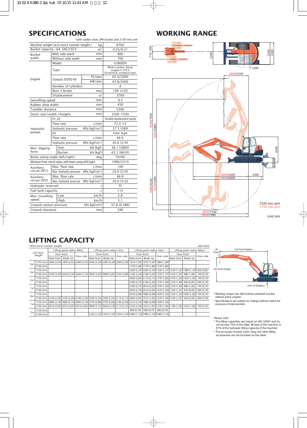# **SPECIFICATIONS**

| *with rubber shoe, JPN bucket and 2100 mm arm |                |                                                          |                            |                                                                        |  |  |  |  |
|-----------------------------------------------|----------------|----------------------------------------------------------|----------------------------|------------------------------------------------------------------------|--|--|--|--|
|                                               |                | Machine weight (w/o extra counter weight)                | kq                         | 8700                                                                   |  |  |  |  |
| Bucket capacity, std. SAE/CECE                |                |                                                          | m <sup>3</sup>             | 0.25/0.21                                                              |  |  |  |  |
| Bucket                                        |                | With side teeth                                          | mm                         | 800                                                                    |  |  |  |  |
| width                                         |                | Without side teeth                                       | mm                         | 700                                                                    |  |  |  |  |
|                                               |                | Model                                                    |                            | V3800DI                                                                |  |  |  |  |
|                                               | Type           |                                                          |                            | Water-cooled, diesel<br>engine E-TVCS<br>(Economical, ecological type) |  |  |  |  |
| Engine                                        |                | Output ISO9249                                           | PS/rpm                     | 65.0/2000                                                              |  |  |  |  |
|                                               |                |                                                          | kW/rpm                     | 47.8/2000                                                              |  |  |  |  |
|                                               |                | Number of cylinders                                      |                            | 4                                                                      |  |  |  |  |
|                                               |                | Bore $\times$ Stroke                                     | mm                         | $100 \times 120$                                                       |  |  |  |  |
|                                               |                | Displacement                                             | CC                         | 3769                                                                   |  |  |  |  |
| Swivelling speed                              |                | rpm                                                      | 9.5                        |                                                                        |  |  |  |  |
| Rubber shoe width                             |                |                                                          | mm                         | 450                                                                    |  |  |  |  |
| Tumbler distance                              |                |                                                          | mm                         | 2300                                                                   |  |  |  |  |
| Dozer size (width $\times$ height)            |                |                                                          | mm                         | $2200 \times 500$                                                      |  |  |  |  |
|                                               | P1.P2          |                                                          |                            | Variable displacement pump                                             |  |  |  |  |
|                                               |                | Flow rate                                                | $\ell$ /min                | $72.0 \times 2$                                                        |  |  |  |  |
| Hydraulic                                     |                | Hydraulic pressure                                       | MPa (kgf/cm <sup>2</sup> ) | 27.5 (280)                                                             |  |  |  |  |
| pumps                                         | P <sub>3</sub> |                                                          |                            | Gear type                                                              |  |  |  |  |
|                                               |                | Flow rate                                                | $\ell$ /min                | 66.6                                                                   |  |  |  |  |
|                                               |                | Hydraulic pressure                                       | MPa (kgf/cm <sup>2</sup> ) | 20.6(210)                                                              |  |  |  |  |
| Max. digging                                  |                | Arm                                                      | kN (kgf)                   | 38.1 (3880)                                                            |  |  |  |  |
| force                                         |                | <b>Bucket</b>                                            | kN (kgf)                   | 65.2 (6650)                                                            |  |  |  |  |
| Boom swing angle (left/right)                 |                |                                                          | deg                        | 70/60                                                                  |  |  |  |  |
|                                               |                | Minimum front swivel radius with boom swing (left/right) |                            | 1990/2310                                                              |  |  |  |  |
| Auxiliarv                                     |                | Max. flow rate                                           | ℓ/min                      | 100                                                                    |  |  |  |  |
| circuit (SP1)                                 |                | Max. hydraulic pressure                                  | MPa ( $kqf/cm^2$ )         | 20.6 (210)                                                             |  |  |  |  |
| Auxiliary                                     |                | Max. flow rate                                           | $\ell$ /min                | 66.6                                                                   |  |  |  |  |
| circuit (SP2)                                 |                | Max. hydraulic pressure                                  | MPa (kgf/cm <sup>2</sup> ) | 20.6 (210)                                                             |  |  |  |  |
| Hydraulic reservoir                           |                |                                                          | l                          | 75                                                                     |  |  |  |  |
| Fuel tank capacity                            |                |                                                          | Ø.                         | 115                                                                    |  |  |  |  |
| Max. travelling                               |                | Low                                                      | km/h                       | 2.8                                                                    |  |  |  |  |
| speed                                         |                | High                                                     | km/h                       | 5.1                                                                    |  |  |  |  |
| Ground contact pressure                       |                |                                                          | kPa (kgf/cm <sup>2</sup> ) | 37.8 (0.386)                                                           |  |  |  |  |
| Ground clearance                              |                |                                                          | mm                         | 390                                                                    |  |  |  |  |

# **WORKING RANGE**



# **LIFTING CAPACITY**

| *With extra counter weight<br>daN (ton) |          |                                                                                  |          |           |                           |            |                           |                   |                                                                                                                      |                            |                                                                                                                                                                              |          |            |
|-----------------------------------------|----------|----------------------------------------------------------------------------------|----------|-----------|---------------------------|------------|---------------------------|-------------------|----------------------------------------------------------------------------------------------------------------------|----------------------------|------------------------------------------------------------------------------------------------------------------------------------------------------------------------------|----------|------------|
| Lift Point<br>Height                    |          | Lifting point radius (Min)                                                       |          |           | Lifting point radius (3m) |            | Lifting point radius (4m) |                   |                                                                                                                      | Lifting point radius (Max) |                                                                                                                                                                              |          |            |
|                                         |          | Over-front                                                                       |          | Over-side |                           | Over-front |                           | Over-front        |                                                                                                                      | Over-side                  | Over-front                                                                                                                                                                   |          |            |
|                                         |          | Blade Down                                                                       | Blade Up |           | Blade Down                | Blade Up   | Over-side                 | <b>Blade Down</b> | Blade Up                                                                                                             |                            | <b>Blade Down</b>                                                                                                                                                            | Blade Up | Over-side  |
|                                         |          | 1750 Arm 2400 (2,45) 2400 (2,45) 2400 (2,45) 2260 (2,30) 2260 (2,30) 2260 (2,30) |          |           |                           |            |                           |                   | 1910 (1,95) 1910 (1,95) 1860 (1,90)                                                                                  |                            |                                                                                                                                                                              |          |            |
| 5m                                      | 2100 Arm |                                                                                  |          |           |                           |            |                           |                   | 1770 (1.80) 1770 (1.80) 1770 (1.80)                                                                                  |                            |                                                                                                                                                                              |          |            |
|                                         | 1750 Arm |                                                                                  |          |           |                           |            |                           |                   |                                                                                                                      |                            | 2300 (2,35) 2260 (2,30) 1720 (1,75) 1520 (1,55) 1080 (1,10)                                                                                                                  |          | 830 (0.85) |
| 3m                                      |          |                                                                                  |          |           |                           |            |                           |                   |                                                                                                                      |                            | 2100 Arm 3240 (3,30) 3240 (3,30) 3240 (3,30) 3040 (3,10) 2990 (3,05) 2990 (3,05) 2750 (2,80) 2160 (2,20) 2160 (2,20) 1720 (1,75) 1420 (1,45) 380 (1,00)                      |          | 740 (0,75) |
| 2m                                      | 1750 Arm |                                                                                  |          |           |                           |            |                           |                   |                                                                                                                      |                            | 2600 (2,65) 2110 (2,15) 1570 (1,60) 1470 (1,50) 1030 (1,05)                                                                                                                  |          | 740 (0,75) |
|                                         | 2100 Arm |                                                                                  |          |           |                           |            |                           |                   |                                                                                                                      |                            | 2500 (2,55) 2160 (2,20) 1570 (1,60) 1370 (1,40) 930 (0,95)                                                                                                                   |          | 690 (0.70) |
| 1m <sub>1</sub>                         | 1750 Arm |                                                                                  |          |           |                           |            |                           |                   |                                                                                                                      |                            | 2700 (2,75) 2010 (2,05) 1470 (1,50) 1370 (1,40) 980 (1,00)                                                                                                                   |          | 740 (0,75) |
|                                         | 2100 Arm |                                                                                  |          |           |                           |            |                           |                   |                                                                                                                      |                            | 2650 (2,70) 2010 (2,05) 1470 (1,50) 1320 (1,35) 930 (0,95)                                                                                                                   |          | 690 (0.70) |
| 0m                                      | 1750 Arm |                                                                                  |          |           |                           |            |                           |                   |                                                                                                                      |                            | 2550 (2,60) 1960 (2,00) 1420 (1,45) 1320 (1,35) 1030 (1,05)                                                                                                                  |          | 740 (0,75) |
|                                         |          |                                                                                  |          |           |                           |            |                           |                   |                                                                                                                      |                            | 2100 Arm 2160 (2,20) 2160 (2,20) 2160 (2,20) 2300 (2,35) 2300 (2,35) 2110 (2,15) 2600 (2,65) 1910 (1,95) 1370 (1,40) 1230 (1,25) 930 (0,95)                                  |          | 690 (0,70) |
| $-1m$                                   |          |                                                                                  |          |           |                           |            |                           |                   | 1750 Arm 2060 (2,10) 2060 (2,10) 2060 (2,10) 2750 (2,80) 2750 (2,80) 2160 (2,20) 2210 (2,25) 1960 (2,00) 1420 (1,45) |                            |                                                                                                                                                                              |          |            |
|                                         |          |                                                                                  |          |           |                           |            |                           |                   |                                                                                                                      |                            | 2100 1180 (1,20) 1030 (1,05) 1770 (1,40) 1370 (1,05) 1030 (2,05) 2010 (2,05) 2010 (2,15) 2040 (3,10) 2110 (2,15) 2350 (2,40) 1910 (1,95) 1370 (1,40) 1180 (1,20) 1030 (1,05) |          | 740 (0.75) |
| $-3m$                                   | 1750 Arm |                                                                                  |          |           |                           |            |                           | 690 (0.70)        | 690 (0,70)                                                                                                           | 690 (0,70)                 |                                                                                                                                                                              |          |            |
|                                         | 2100 Arm |                                                                                  |          |           |                           |            |                           |                   | 1320 (1,10) 1080 (1,10) 1080 (1,10) 1080 (1,10) 1080 (1,10) 1080 (1,10)                                              |                            |                                                                                                                                                                              |          |            |



<sup>\*</sup> Working ranges are with Kubota standard bucket, without quick coupler.

Please note:

\* The lifting capacities are based on ISO 10567 and do not exceed 75% of the static tilt load of the machine or 87% of the hydraulic lifting capacity of the machine.

\* The excavator bucket, hook, sling and other lifting accessories are not included on this table.

<sup>\*</sup> Specifications are subject to change without notice for purpose of improvement.